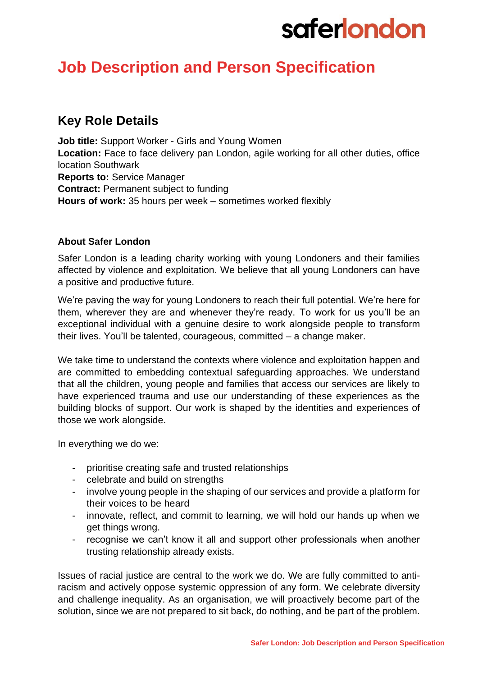### **Job Description and Person Specification**

### **Key Role Details**

**Job title:** Support Worker - Girls and Young Women **Location:** Face to face delivery pan London, agile working for all other duties, office location Southwark **Reports to:** Service Manager **Contract:** Permanent subject to funding **Hours of work:** 35 hours per week – sometimes worked flexibly

#### **About Safer London**

Safer London is a leading charity working with young Londoners and their families affected by violence and exploitation. We believe that all young Londoners can have a positive and productive future.

We're paving the way for young Londoners to reach their full potential. We're here for them, wherever they are and whenever they're ready. To work for us you'll be an exceptional individual with a genuine desire to work alongside people to transform their lives. You'll be talented, courageous, committed – a change maker.

We take time to understand the contexts where violence and exploitation happen and are committed to embedding contextual safeguarding approaches. We understand that all the children, young people and families that access our services are likely to have experienced trauma and use our understanding of these experiences as the building blocks of support. Our work is shaped by the identities and experiences of those we work alongside.

In everything we do we:

- prioritise creating safe and trusted relationships
- celebrate and build on strengths
- involve young people in the shaping of our services and provide a platform for their voices to be heard
- innovate, reflect, and commit to learning, we will hold our hands up when we get things wrong.
- recognise we can't know it all and support other professionals when another trusting relationship already exists.

Issues of racial justice are central to the work we do. We are fully committed to antiracism and actively oppose systemic oppression of any form. We celebrate diversity and challenge inequality. As an organisation, we will proactively become part of the solution, since we are not prepared to sit back, do nothing, and be part of the problem.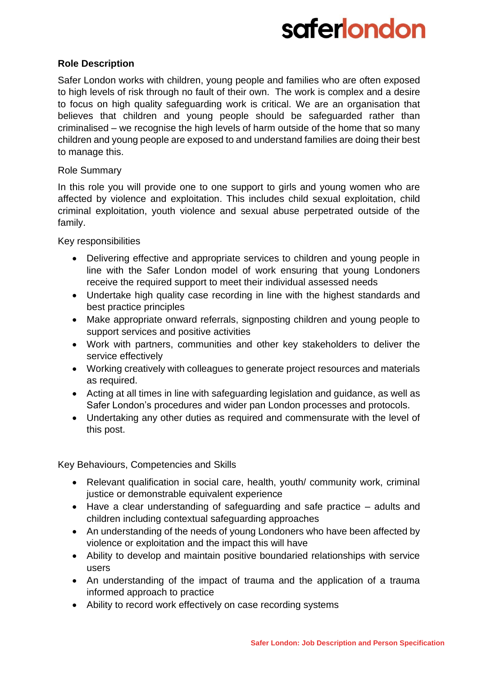#### **Role Description**

Safer London works with children, young people and families who are often exposed to high levels of risk through no fault of their own. The work is complex and a desire to focus on high quality safeguarding work is critical. We are an organisation that believes that children and young people should be safeguarded rather than criminalised – we recognise the high levels of harm outside of the home that so many children and young people are exposed to and understand families are doing their best to manage this.

#### Role Summary

In this role you will provide one to one support to girls and young women who are affected by violence and exploitation. This includes child sexual exploitation, child criminal exploitation, youth violence and sexual abuse perpetrated outside of the family.

Key responsibilities

- Delivering effective and appropriate services to children and young people in line with the Safer London model of work ensuring that young Londoners receive the required support to meet their individual assessed needs
- Undertake high quality case recording in line with the highest standards and best practice principles
- Make appropriate onward referrals, signposting children and young people to support services and positive activities
- Work with partners, communities and other key stakeholders to deliver the service effectively
- Working creatively with colleagues to generate project resources and materials as required.
- Acting at all times in line with safeguarding legislation and guidance, as well as Safer London's procedures and wider pan London processes and protocols.
- Undertaking any other duties as required and commensurate with the level of this post.

Key Behaviours, Competencies and Skills

- Relevant qualification in social care, health, youth/ community work, criminal justice or demonstrable equivalent experience
- Have a clear understanding of safeguarding and safe practice adults and children including contextual safeguarding approaches
- An understanding of the needs of young Londoners who have been affected by violence or exploitation and the impact this will have
- Ability to develop and maintain positive boundaried relationships with service users
- An understanding of the impact of trauma and the application of a trauma informed approach to practice
- Ability to record work effectively on case recording systems